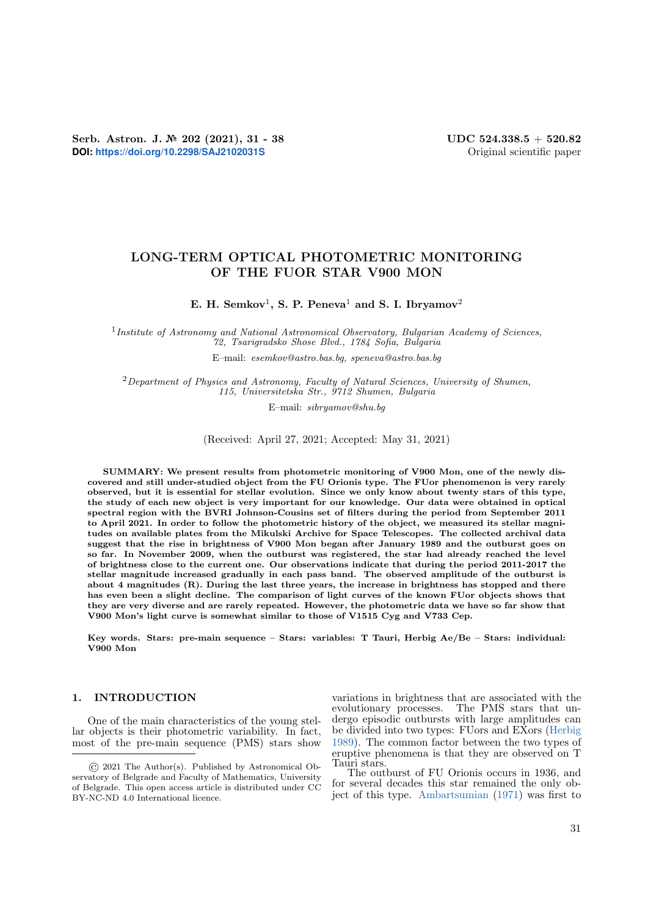# LONG-TERM OPTICAL PHOTOMETRIC MONITORING OF THE FUOR STAR V900 MON

E. H. Semkov<sup>1</sup>, S. P. Peneva<sup>1</sup> and S. I. Ibryamov<sup>2</sup>

<sup>1</sup> Institute of Astronomy and National Astronomical Observatory, Bulgarian Academy of Sciences, 72, Tsarigradsko Shose Blvd., 1784 Sofia, Bulgaria

E–mail: esemkov@astro.bas.bg, speneva@astro.bas.bg

 $2$ Department of Physics and Astronomy, Faculty of Natural Sciences, University of Shumen, 115, Universitetska Str., 9712 Shumen, Bulgaria

E–mail: sibryamov@shu.bg

(Received: April 27, 2021; Accepted: May 31, 2021)

SUMMARY: We present results from photometric monitoring of V900 Mon, one of the newly discovered and still under-studied object from the FU Orionis type. The FUor phenomenon is very rarely observed, but it is essential for stellar evolution. Since we only know about twenty stars of this type, the study of each new object is very important for our knowledge. Our data were obtained in optical spectral region with the BVRI Johnson-Cousins set of filters during the period from September 2011 to April 2021. In order to follow the photometric history of the object, we measured its stellar magnitudes on available plates from the Mikulski Archive for Space Telescopes. The collected archival data suggest that the rise in brightness of V900 Mon began after January 1989 and the outburst goes on so far. In November 2009, when the outburst was registered, the star had already reached the level of brightness close to the current one. Our observations indicate that during the period 2011-2017 the stellar magnitude increased gradually in each pass band. The observed amplitude of the outburst is about 4 magnitudes (R). During the last three years, the increase in brightness has stopped and there has even been a slight decline. The comparison of light curves of the known FUor objects shows that they are very diverse and are rarely repeated. However, the photometric data we have so far show that V900 Mon's light curve is somewhat similar to those of V1515 Cyg and V733 Cep.

Key words. Stars: pre-main sequence – Stars: variables: T Tauri, Herbig Ae/Be – Stars: individual: V900 Mon

## 1. INTRODUCTION

One of the main characteristics of the young stellar objects is their photometric variability. In fact, most of the pre-main sequence (PMS) stars show variations in brightness that are associated with the evolutionary processes. The PMS stars that undergo episodic outbursts with large amplitudes can be divided into two types: FUors and EXors [\(Herbig](#page-6-0) [1989\)](#page-6-0). The common factor between the two types of eruptive phenomena is that they are observed on T Tauri stars.

The outburst of FU Orionis occurs in 1936, and for several decades this star remained the only object of this type. [Ambartsumian](#page-6-1) [\(1971\)](#page-6-1) was first to

<sup>©</sup> 2021 The Author(s). Published by Astronomical Observatory of Belgrade and Faculty of Mathematics, University of Belgrade. This open access article is distributed under CC BY-NC-ND 4.0 International licence.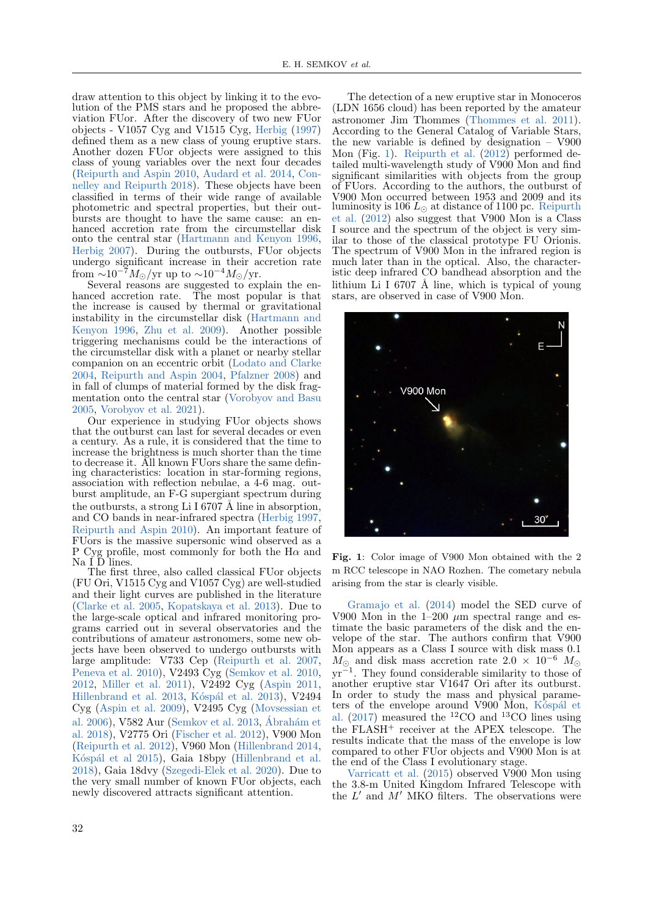draw attention to this object by linking it to the evolution of the PMS stars and he proposed the abbreviation FUor. After the discovery of two new FUor objects - V1057 Cyg and V1515 Cyg, [Herbig](#page-6-2) [\(1997\)](#page-6-2) defined them as a new class of young eruptive stars. Another dozen FUor objects were assigned to this class of young variables over the next four decades [\(Reipurth and Aspin](#page-6-3) [2010,](#page-6-3) [Audard et al.](#page-6-4) [2014,](#page-6-4) [Con](#page-6-5)[nelley and Reipurth](#page-6-5) [2018\)](#page-6-5). These objects have been classified in terms of their wide range of available photometric and spectral properties, but their outbursts are thought to have the same cause: an enhanced accretion rate from the circumstellar disk onto the central star [\(Hartmann and Kenyon](#page-6-6) [1996,](#page-6-6) [Herbig](#page-6-7) [2007\)](#page-6-7). During the outbursts, FUor objects undergo significant increase in their accretion rate from  $\sim 10^{-7} M_{\odot}/yr$  up to  $\sim 10^{-4} M_{\odot}/yr$ .

Several reasons are suggested to explain the enhanced accretion rate. The most popular is that the increase is caused by thermal or gravitational instability in the circumstellar disk [\(Hartmann and](#page-6-6) [Kenyon](#page-6-6) [1996,](#page-6-6) [Zhu et al.](#page-6-8) [2009\)](#page-6-8). Another possible triggering mechanisms could be the interactions of the circumstellar disk with a planet or nearby stellar companion on an eccentric orbit [\(Lodato and Clarke](#page-6-9) [2004,](#page-6-9) [Reipurth and Aspin](#page-6-10) [2004,](#page-6-10) [Pfalzner](#page-6-11) [2008\)](#page-6-11) and in fall of clumps of material formed by the disk fragmentation onto the central star [\(Vorobyov and Basu](#page-6-12) [2005,](#page-6-12) [Vorobyov et al.](#page-6-13) [2021\)](#page-6-13).

Our experience in studying FUor objects shows that the outburst can last for several decades or even a century. As a rule, it is considered that the time to increase the brightness is much shorter than the time to decrease it. All known FUors share the same defining characteristics: location in star-forming regions, association with reflection nebulae, a 4-6 mag. outburst amplitude, an F-G supergiant spectrum during the outbursts, a strong Li I 6707 Å line in absorption, and CO bands in near-infrared spectra [\(Herbig](#page-6-2) [1997,](#page-6-2) [Reipurth and Aspin](#page-6-3) [2010\)](#page-6-3). An important feature of FUors is the massive supersonic wind observed as a P Cyg profile, most commonly for both the H $\alpha$  and  $\mathrm{Na}$  I  $\bar{\mathrm{D}}$  lines.

The first three, also called classical FUor objects (FU Ori, V1515 Cyg and V1057 Cyg) are well-studied and their light curves are published in the literature [\(Clarke et al.](#page-6-14) [2005,](#page-6-14) [Kopatskaya et al.](#page-6-15) [2013\)](#page-6-15). Due to the large-scale optical and infrared monitoring programs carried out in several observatories and the contributions of amateur astronomers, some new objects have been observed to undergo outbursts with large amplitude: V733 Cep [\(Reipurth et al.](#page-6-16) [2007,](#page-6-16) [Peneva et al.](#page-6-17) [2010\)](#page-6-17), V2493 Cyg [\(Semkov et al.](#page-6-18) [2010,](#page-6-18) [2012,](#page-6-19) [Miller et al.](#page-6-20) [2011\)](#page-6-20), V2492 Cyg [\(Aspin](#page-6-21) [2011,](#page-6-21) [Hillenbrand et al.](#page-6-22)  $2013$ , Kóspál et al.  $2013$ ), V2494 Cyg [\(Aspin et al.](#page-6-24) [2009\)](#page-6-24), V2495 Cyg [\(Movsessian et](#page-6-25) [al.](#page-6-25) [2006\)](#page-6-25), V582 Aur [\(Semkov et al.](#page-6-26) [2013,](#page-6-26) Ábrahám et [al.](#page-6-27) [2018\)](#page-6-27), V2775 Ori [\(Fischer et al.](#page-6-28) [2012\)](#page-6-28), V900 Mon [\(Reipurth et al.](#page-6-29) [2012\)](#page-6-29), V960 Mon [\(Hillenbrand](#page-6-30) [2014,](#page-6-30) Kóspál et al [2015\)](#page-6-31), Gaia 18bpy [\(Hillenbrand et al.](#page-6-32) [2018\)](#page-6-32), Gaia 18dvy [\(Szegedi-Elek et al.](#page-6-33) [2020\)](#page-6-33). Due to the very small number of known FUor objects, each newly discovered attracts significant attention.

The detection of a new eruptive star in Monoceros (LDN 1656 cloud) has been reported by the amateur astronomer Jim Thommes [\(Thommes et al.](#page-6-34) [2011\)](#page-6-34). According to the General Catalog of Variable Stars, the new variable is defined by designation – V900 Mon (Fig. [1\)](#page-1-0). [Reipurth et al.](#page-6-29) [\(2012\)](#page-6-29) performed detailed multi-wavelength study of V900 Mon and find significant similarities with objects from the group of FUors. According to the authors, the outburst of V900 Mon occurred between 1953 and 2009 and its luminosity is 106  $L_{\odot}$  at distance of 1100 pc. [Reipurth](#page-6-29) [et al.](#page-6-29) [\(2012\)](#page-6-29) also suggest that V900 Mon is a Class I source and the spectrum of the object is very similar to those of the classical prototype FU Orionis. The spectrum of V900 Mon in the infrared region is much later than in the optical. Also, the characteristic deep infrared CO bandhead absorption and the lithium Li I 6707 Å line, which is typical of young stars, are observed in case of V900 Mon.



Fig. 1: Color image of V900 Mon obtained with the 2 m RCC telescope in NAO Rozhen. The cometary nebula arising from the star is clearly visible.

<span id="page-1-0"></span>[Gramajo et al.](#page-6-35) [\(2014\)](#page-6-35) model the SED curve of V900 Mon in the  $1-200 \mu m$  spectral range and estimate the basic parameters of the disk and the envelope of the star. The authors confirm that V900 Mon appears as a Class I source with disk mass 0.1  $M_{\odot}$  and disk mass accretion rate  $2.0 \times 10^{-6}$  M<sub> $\odot$ </sub> yr<sup>−</sup><sup>1</sup> . They found considerable similarity to those of another eruptive star V1647 Ori after its outburst. In order to study the mass and physical parameters of the envelope around  $V900$ <sup> $\dot{M}$ </sup>on, K<sup> $\dot{\text{c}}$ </sup>spal et [al.](#page-6-36)  $(2017)$  measured the <sup>12</sup>CO and <sup>13</sup>CO lines using the FLASH<sup>+</sup> receiver at the APEX telescope. The results indicate that the mass of the envelope is low compared to other FUor objects and V900 Mon is at the end of the Class I evolutionary stage.

[Varricatt et al.](#page-6-37) [\(2015\)](#page-6-37) observed V900 Mon using the 3.8-m United Kingdom Infrared Telescope with the  $L'$  and  $M'$  MKO filters. The observations were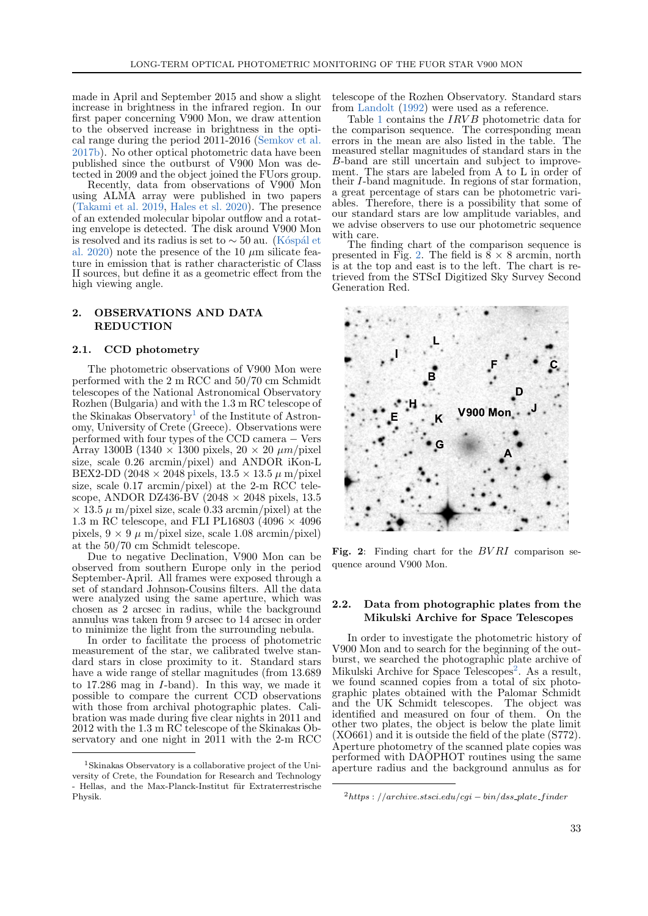made in April and September 2015 and show a slight increase in brightness in the infrared region. In our first paper concerning V900 Mon, we draw attention to the observed increase in brightness in the optical range during the period 2011-2016 [\(Semkov et al.](#page-6-38) [2017b\)](#page-6-38). No other optical photometric data have been published since the outburst of V900 Mon was detected in 2009 and the object joined the FUors group.

Recently, data from observations of V900 Mon using ALMA array were published in two papers [\(Takami et al.](#page-6-39) [2019,](#page-6-39) [Hales et sl.](#page-6-40) [2020\)](#page-6-40). The presence of an extended molecular bipolar outflow and a rotating envelope is detected. The disk around V900 Mon is resolved and its radius is set to  $\sim$  50 au. (Kóspál et [al.](#page-6-41) [2020\)](#page-6-41) note the presence of the 10  $\mu$ m silicate feature in emission that is rather characteristic of Class II sources, but define it as a geometric effect from the high viewing angle.

# 2. OBSERVATIONS AND DATA REDUCTION

#### 2.1. CCD photometry

The photometric observations of V900 Mon were performed with the 2 m RCC and 50/70 cm Schmidt telescopes of the National Astronomical Observatory Rozhen (Bulgaria) and with the 1.3 m RC telescope of the Skinakas Observatory<sup>[1](#page-2-0)</sup> of the Institute of Astronomy, University of Crete (Greece). Observations were performed with four types of the CCD camera − Vers Array 1300B (1340  $\times$  1300 pixels, 20  $\times$  20  $\mu$ m/pixel size, scale 0.26 arcmin/pixel) and ANDOR iKon-L BEX2-DD (2048  $\times$  2048 pixels, 13.5  $\times$  13.5  $\mu$  m/pixel size, scale 0.17 arcmin/pixel) at the 2-m RCC telescope, ANDOR DZ436-BV (2048  $\times$  2048 pixels, 13.5  $\times$  13.5  $\mu$  m/pixel size, scale 0.33 arcmin/pixel) at the 1.3 m RC telescope, and FLI PL16803 (4096  $\times$  4096 pixels,  $9 \times 9 \mu$  m/pixel size, scale 1.08 arcmin/pixel) at the 50/70 cm Schmidt telescope.

Due to negative Declination, V900 Mon can be observed from southern Europe only in the period September-April. All frames were exposed through a set of standard Johnson-Cousins filters. All the data were analyzed using the same aperture, which was chosen as 2 arcsec in radius, while the background annulus was taken from 9 arcsec to 14 arcsec in order to minimize the light from the surrounding nebula.

In order to facilitate the process of photometric measurement of the star, we calibrated twelve standard stars in close proximity to it. Standard stars have a wide range of stellar magnitudes (from 13.689 to 17.286 mag in I-band). In this way, we made it possible to compare the current CCD observations with those from archival photographic plates. Calibration was made during five clear nights in 2011 and 2012 with the 1.3 m RC telescope of the Skinakas Observatory and one night in 2011 with the 2-m RCC

telescope of the Rozhen Observatory. Standard stars from [Landolt](#page-6-42) [\(1992\)](#page-6-42) were used as a reference.

Table [1](#page-3-0) contains the *IRVB* photometric data for the comparison sequence. The corresponding mean errors in the mean are also listed in the table. The measured stellar magnitudes of standard stars in the B-band are still uncertain and subject to improvement. The stars are labeled from A to L in order of their I-band magnitude. In regions of star formation, a great percentage of stars can be photometric variables. Therefore, there is a possibility that some of our standard stars are low amplitude variables, and we advise observers to use our photometric sequence with care.

The finding chart of the comparison sequence is presented in Fig. [2.](#page-2-1) The field is  $8 \times 8$  arcmin, north is at the top and east is to the left. The chart is retrieved from the STScI Digitized Sky Survey Second Generation Red.



<span id="page-2-1"></span>Fig. 2: Finding chart for the  $BVRI$  comparison sequence around V900 Mon.

## 2.2. Data from photographic plates from the Mikulski Archive for Space Telescopes

In order to investigate the photometric history of V900 Mon and to search for the beginning of the outburst, we searched the photographic plate archive of Mikulski Archive for Space Telescopes<sup>[2](#page-2-2)</sup>. As a result, we found scanned copies from a total of six photographic plates obtained with the Palomar Schmidt and the UK Schmidt telescopes. The object was identified and measured on four of them. On the other two plates, the object is below the plate limit (XO661) and it is outside the field of the plate (S772). Aperture photometry of the scanned plate copies was performed with DAOPHOT routines using the same aperture radius and the background annulus as for

<span id="page-2-0"></span><sup>1</sup>Skinakas Observatory is a collaborative project of the University of Crete, the Foundation for Research and Technology - Hellas, and the Max-Planck-Institut für Extraterrestrische Physik.

<span id="page-2-2"></span> $^{2}$ https : //archive.stsci.edu/cgi – bin/dss\_plate\_finder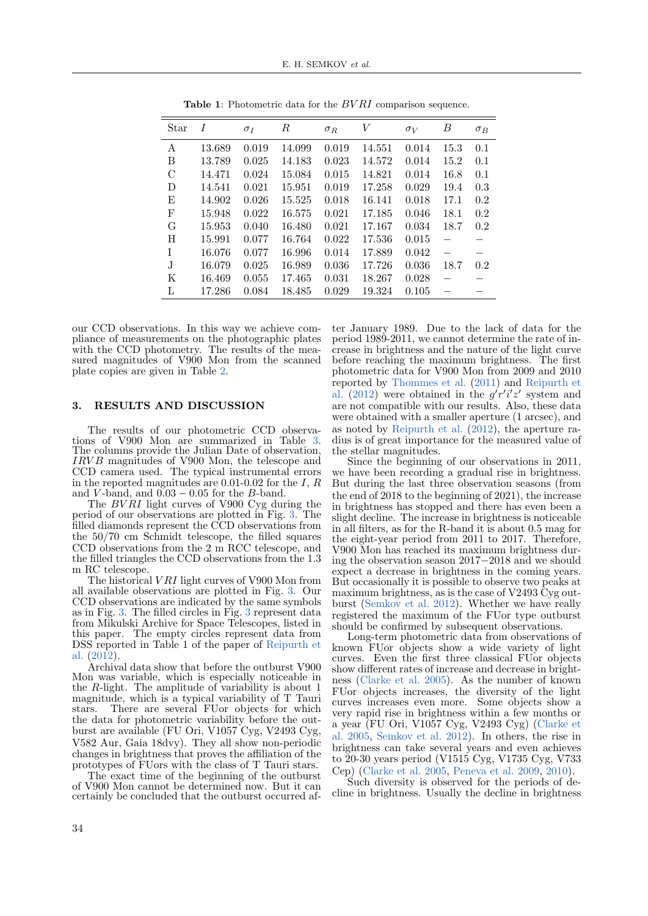| Star | I      | $\sigma_I$ | $\boldsymbol{R}$ | $\sigma_R$ | V      | $\sigma_V$ | В        | $\sigma_B$ |
|------|--------|------------|------------------|------------|--------|------------|----------|------------|
| А    | 13.689 | 0.019      | 14.099           | 0.019      | 14.551 | 0.014      | 15.3     | 0.1        |
| B    | 13.789 | 0.025      | 14.183           | 0.023      | 14.572 | 0.014      | 15.2     | 0.1        |
| C    | 14.471 | 0.024      | 15.084           | 0.015      | 14.821 | 0.014      | 16.8     | 0.1        |
| D    | 14.541 | 0.021      | 15.951           | 0.019      | 17.258 | 0.029      | 19.4     | 0.3        |
| E    | 14.902 | 0.026      | 15.525           | 0.018      | 16.141 | 0.018      | 17.1     | 0.2        |
| F    | 15.948 | 0.022      | 16.575           | 0.021      | 17.185 | 0.046      | 18.1     | 0.2        |
| G    | 15.953 | 0.040      | 16.480           | 0.021      | 17.167 | 0.034      | 18.7     | 0.2        |
| H    | 15.991 | 0.077      | 16.764           | 0.022      | 17.536 | 0.015      | $\equiv$ |            |
| T    | 16.076 | 0.077      | 16.996           | 0.014      | 17.889 | 0.042      | $\equiv$ |            |
| J.   | 16.079 | 0.025      | 16.989           | 0.036      | 17.726 | 0.036      | 18.7     | 0.2        |
| K    | 16.469 | 0.055      | 17.465           | 0.031      | 18.267 | 0.028      |          |            |
| L    | 17.286 | 0.084      | 18.485           | 0.029      | 19.324 | 0.105      |          |            |

<span id="page-3-0"></span>**Table 1:** Photometric data for the  $BVRI$  comparison sequence.

our CCD observations. In this way we achieve compliance of measurements on the photographic plates with the CCD photometry. The results of the measured magnitudes of V900 Mon from the scanned plate copies are given in Table [2.](#page-4-0)

#### 3. RESULTS AND DISCUSSION

The results of our photometric CCD observations of V900 Mon are summarized in Table [3.](#page-4-1) The columns provide the Julian Date of observation, IRV B magnitudes of V900 Mon, the telescope and CCD camera used. The typical instrumental errors in the reported magnitudes are 0.01-0.02 for the  $I, R$ and V-band, and  $0.03 - 0.05$  for the B-band.

The  $BVRI$  light curves of V900 Cyg during the period of our observations are plotted in Fig. [3.](#page-5-0) The filled diamonds represent the CCD observations from the 50/70 cm Schmidt telescope, the filled squares CCD observations from the 2 m RCC telescope, and the filled triangles the CCD observations from the 1.3 m RC telescope.

The historical *VRI* light curves of V900 Mon from all available observations are plotted in Fig. [3.](#page-5-1) Our CCD observations are indicated by the same symbols as in Fig. [3.](#page-5-0) The filled circles in Fig. [3](#page-5-1) represent data from Mikulski Archive for Space Telescopes, listed in this paper. The empty circles represent data from DSS reported in Table 1 of the paper of [Reipurth et](#page-6-29) [al.](#page-6-29) [\(2012\)](#page-6-29).

Archival data show that before the outburst V900 Mon was variable, which is especially noticeable in the  $R$ -light. The amplitude of variability is about 1 magnitude, which is a typical variability of T Tauri stars. There are several FUor objects for which the data for photometric variability before the outburst are available (FU Ori, V1057 Cyg, V2493 Cyg, V582 Aur, Gaia 18dvy). They all show non-periodic changes in brightness that proves the affiliation of the prototypes of FUors with the class of T Tauri stars.

The exact time of the beginning of the outburst of V900 Mon cannot be determined now. But it can certainly be concluded that the outburst occurred after January 1989. Due to the lack of data for the period 1989-2011, we cannot determine the rate of increase in brightness and the nature of the light curve before reaching the maximum brightness. The first photometric data for V900 Mon from 2009 and 2010 reported by [Thommes et al.](#page-6-34) [\(2011\)](#page-6-34) and [Reipurth et](#page-6-29) [al.](#page-6-29) [\(2012\)](#page-6-29) were obtained in the  $g'r'i'z'$  system and are not compatible with our results. Also, these data were obtained with a smaller aperture (1 arcsec), and as noted by [Reipurth et al.](#page-6-29) [\(2012\)](#page-6-29), the aperture radius is of great importance for the measured value of the stellar magnitudes.

Since the beginning of our observations in 2011, we have been recording a gradual rise in brightness. But during the last three observation seasons (from the end of 2018 to the beginning of 2021), the increase in brightness has stopped and there has even been a slight decline. The increase in brightness is noticeable in all filters, as for the R-band it is about 0.5 mag for the eight-year period from 2011 to 2017. Therefore, V900 Mon has reached its maximum brightness during the observation season 2017−2018 and we should expect a decrease in brightness in the coming years. But occasionally it is possible to observe two peaks at maximum brightness, as is the case of V2493 Cyg outburst [\(Semkov et al.](#page-6-19) [2012\)](#page-6-19). Whether we have really registered the maximum of the FUor type outburst should be confirmed by subsequent observations.

Long-term photometric data from observations of known FUor objects show a wide variety of light curves. Even the first three classical FUor objects show different rates of increase and decrease in brightness [\(Clarke et al.](#page-6-14) [2005\)](#page-6-14). As the number of known FUor objects increases, the diversity of the light curves increases even more. Some objects show a very rapid rise in brightness within a few months or a year (FU Ori, V1057 Cyg, V2493 Cyg) [\(Clarke et](#page-6-14) [al.](#page-6-14) [2005,](#page-6-14) [Semkov et al.](#page-6-19) [2012\)](#page-6-19). In others, the rise in brightness can take several years and even achieves to 20-30 years period (V1515 Cyg, V1735 Cyg, V733 Cep) [\(Clarke et al.](#page-6-14) [2005,](#page-6-14) [Peneva et al.](#page-6-43) [2009,](#page-6-43) [2010\)](#page-6-17).

Such diversity is observed for the periods of decline in brightness. Usually the decline in brightness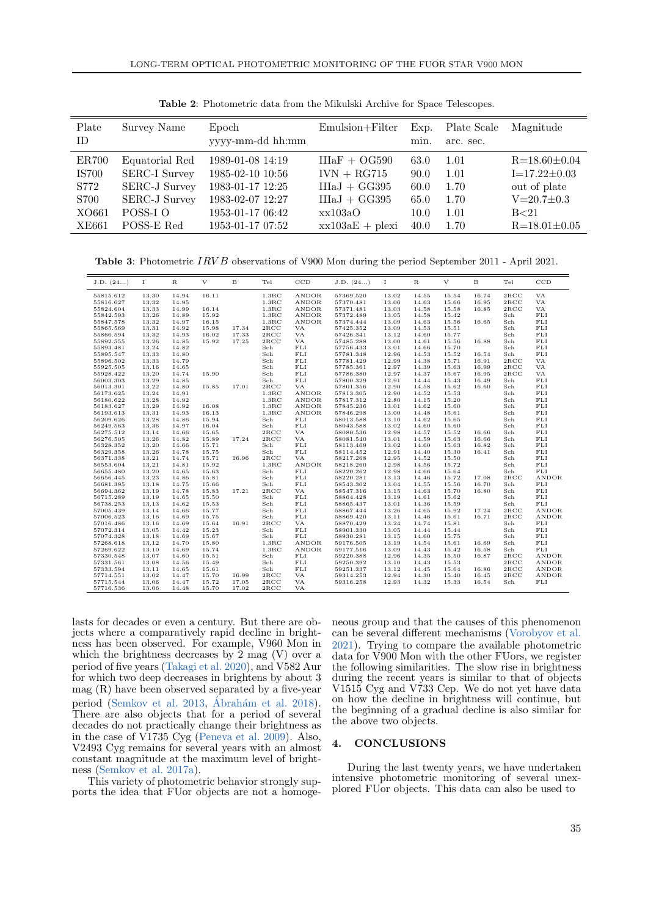| Emulsion+Filter<br>Plate<br>Survey Name<br>Plate Scale<br>Epoch<br>Magnitude<br>Exp.<br>yyyy-mm-dd hh:mm<br>ID.<br>min.<br>arc. sec.<br>$IIIAF + OG590$<br>1989-01-08 14:19<br><b>ER700</b><br>Equatorial Red<br>$R = 18.60 \pm 0.04$<br>63.0<br>1.01<br><b>SERC-I Survey</b><br>$IVN + RG715$<br>1985-02-10 10:56<br><b>IS700</b><br>$I = 17.22 \pm 0.03$<br>90.0<br>1.01<br><b>SERC-J Survey</b><br>$IIIaJ + GG395$<br>1983-01-17 12:25<br>S772<br>out of plate<br>60.0<br>1.70<br><b>SERC-J Survey</b><br>$IIIaJ + GG395$<br>1983-02-07 12:27<br>$V = 20.7 \pm 0.3$<br>S700<br>1.70<br>65.0<br>POSS-I O<br>XO661<br>1953-01-17 06:42<br>xx103aO<br>1.01<br>10.0<br>B <sub>21</sub> |  |  |  |  |
|---------------------------------------------------------------------------------------------------------------------------------------------------------------------------------------------------------------------------------------------------------------------------------------------------------------------------------------------------------------------------------------------------------------------------------------------------------------------------------------------------------------------------------------------------------------------------------------------------------------------------------------------------------------------------------------|--|--|--|--|
|                                                                                                                                                                                                                                                                                                                                                                                                                                                                                                                                                                                                                                                                                       |  |  |  |  |
| POSS-E Red<br><b>XE661</b><br>1953-01-17 07:52<br>$xx103aE + plexi$<br>$R = 18.01 \pm 0.05$<br>40.0<br>1.70                                                                                                                                                                                                                                                                                                                                                                                                                                                                                                                                                                           |  |  |  |  |

<span id="page-4-0"></span>Table 2: Photometric data from the Mikulski Archive for Space Telescopes.

<span id="page-4-1"></span>Table 3: Photometric IRV B observations of V900 Mon during the period September 2011 - April 2021.

| J.D. (24) | $\mathbf I$ | R     | V     | B     | Tel               | CCD          | J.D. (24) | $\mathbf I$ | R     | V     | B     | Tel          | CCD          |
|-----------|-------------|-------|-------|-------|-------------------|--------------|-----------|-------------|-------|-------|-------|--------------|--------------|
| 55815.612 | 13.30       | 14.94 | 16.11 |       | 1.3 <sub>RC</sub> | ANDOR        | 57369.520 | 13.02       | 14.55 | 15.54 | 16.74 | 2RCC         | <b>VA</b>    |
| 55816.627 | 13.32       | 14.95 |       |       | 1.3 <sub>RC</sub> | <b>ANDOR</b> | 57370.481 | 13.06       | 14.63 | 15.66 | 16.95 | 2RCC         | <b>VA</b>    |
| 55824.604 | 13.33       | 14.99 | 16.14 |       | 1.3 <sub>RC</sub> | ANDOR        | 57371.481 | 13.03       | 14.58 | 15.58 | 16.85 | 2RCC         | VA           |
| 55842.593 | 13.26       | 14.89 | 15.92 |       | 1.3 <sub>RC</sub> | <b>ANDOR</b> | 57372.489 | 13.05       | 14.58 | 15.42 |       | Sch          | FLI          |
| 55847.578 | 13.32       | 14.97 | 16.15 |       | 1.3 <sub>RC</sub> | ANDOR        | 57374.444 | 13.09       | 14.63 | 15.56 | 16.65 | Sch          | $_{\rm FLI}$ |
| 55865.569 | 13.31       | 14.92 | 15.98 | 17.34 | 2RCC              | VA.          | 57425.352 | 13.09       | 14.53 | 15.51 |       | Sch          | FLI          |
| 55866.594 | 13.32       | 14.93 | 16.02 | 17.33 | 2RCC              | VA           | 57426.341 | 13.12       | 14.60 | 15.77 |       | Sch          | $_{\rm FLI}$ |
| 55892.555 | 13.26       | 14.85 | 15.92 | 17.25 | 2RCC              | <b>VA</b>    | 57485.288 | 13.00       | 14.61 | 15.56 | 16.88 | Sch          | FLI          |
| 55893.481 | 13.24       | 14.82 |       |       | Sch               | FLI          | 57756.433 | 13.01       | 14.66 | 15.70 |       | Sch          | $_{\rm FLI}$ |
| 55895.547 | 13.33       | 14.80 |       |       | Sch               | FLI          | 57781.348 | 12.96       | 14.53 | 15.52 | 16.54 | Sch          | FLI          |
| 55896.502 | 13.33       | 14.79 |       |       | Sch               | FLI          | 57781.429 | 12.99       | 14.38 | 15.71 | 16.91 | 2RCC         | <b>VA</b>    |
| 55925.505 | 13.16       | 14.65 |       |       | $_{\rm Sch}$      | $_{\rm FLI}$ | 57785.361 | 12.97       | 14.39 | 15.63 | 16.99 | 2RCC         | <b>VA</b>    |
| 55928.422 | 13.20       | 14.74 | 15.90 |       | Sch               | FLI          | 57786.380 | 12.97       | 14.37 | 15.67 | 16.95 | 2RCC         | VA.          |
| 56003.303 | 13.29       | 14.85 |       |       | Sch               | $_{\rm FLI}$ | 57800.329 | 12.91       | 14.44 | 15.43 | 16.49 | $_{\rm Sch}$ | $_{\rm FLI}$ |
| 56013.301 | 13.22       | 14.80 | 15.85 | 17.01 | 2RCC              | <b>VA</b>    | 57801.356 | 12.90       | 14.58 | 15.62 | 16.60 | Sch          | FLI          |
| 56173.625 | 13.24       | 14.91 |       |       | 1.3 <sub>RC</sub> | <b>ANDOR</b> | 57813.305 | 12.90       | 14.52 | 15.53 |       | Sch          | FLI          |
| 56180.622 | 13.28       | 14.92 |       |       | 1.3 <sub>RC</sub> | ANDOR        | 57817.312 | 12.80       | 14.15 | 15.20 |       | Sch          | $_{\rm FLI}$ |
| 56183.627 | 13.29       | 14.92 | 16.08 |       | 1.3 <sub>RC</sub> | ANDOR        | 57845.236 | 13.01       | 14.62 | 15.60 |       | Sch          | $_{\rm FLI}$ |
| 56193.613 | 13.31       | 14.93 | 16.13 |       | 1.3 <sub>RC</sub> | ANDOR        | 57846.298 | 13.00       | 14.48 | 15.61 |       | Sch          | $_{\rm FLI}$ |
| 56209.626 | 13.28       | 14.86 | 15.94 |       | Sch               | FLI          | 58013.588 | 13.10       | 14.62 | 15.65 |       | Sch          | $_{\rm FLI}$ |
| 56249.563 | 13.36       | 14.97 | 16.04 |       | Sch               | FLI          | 58043.588 | 13.02       | 14.60 | 15.60 |       | Sch          | FLI          |
| 56275.512 | 13.14       | 14.66 | 15.65 |       | 2RCC              | VA           | 58080.536 | 12.98       | 14.57 | 15.52 | 16.66 | Sch          | $_{\rm FLI}$ |
| 56276.505 | 13.26       | 14.82 | 15.89 | 17.24 | 2RCC              | <b>VA</b>    | 58081.540 | 13.01       | 14.59 | 15.63 | 16.66 | Sch          | FLI          |
| 56328.352 | 13.20       | 14.66 | 15.71 |       | Sch               | FLI          | 58113.469 | 13.02       | 14.60 | 15.63 | 16.82 | Sch          | $_{\rm FLI}$ |
| 56329.358 | 13.26       | 14.78 | 15.75 |       | Sch               | FLI          | 58114.452 | 12.91       | 14.40 | 15.30 | 16.41 | Sch          | FLI          |
| 56371.338 | 13.21       | 14.74 | 15.71 | 16.96 | 2RCC              | VA.          | 58217.268 | 12.95       | 14.52 | 15.50 |       | Sch          | FLI          |
| 56553.604 | 13.21       | 14.81 | 15.92 |       | 1.3 <sub>RC</sub> | <b>ANDOR</b> | 58218.260 | 12.98       | 14.56 | 15.72 |       | Sch          | FLI          |
| 56655.480 | 13.20       | 14.65 | 15.63 |       | Sch               | $_{\rm FLI}$ | 58220.262 | 12.98       | 14.66 | 15.64 |       | Sch          | FLI          |
| 56656.445 | 13.23       | 14.86 | 15.81 |       | $_{\rm Sch}$      | FLI          | 58220.281 | 13.13       | 14.46 | 15.72 | 17.08 | 2RCC         | ANDOR        |
| 56681.395 | 13.18       | 14.75 | 15.66 |       | Sch               | FLI          | 58543.302 | 13.04       | 14.55 | 15.56 | 16.70 | Sch          | FLI          |
| 56694.362 | 13.19       | 14.78 | 15.83 | 17.21 | 2RCC              | VA           | 58547.316 | 13.15       | 14.63 | 15.70 | 16.80 | $_{\rm Sch}$ | $_{\rm FLI}$ |
| 56715.289 | 13.19       | 14.65 | 15.50 |       | Sch               | FLI          | 58864.428 | 13.19       | 14.61 | 15.62 |       | Sch          | FLI          |
| 56738.253 | 13.13       | 14.62 | 15.53 |       | Sch               | $_{\rm FLI}$ | 58865.437 | 13.01       | 14.36 | 15.59 |       | Sch          | $_{\rm FLI}$ |
| 57005.439 | 13.14       | 14.66 | 15.77 |       | Sch               | FLI          | 58867.444 | 13.26       | 14.65 | 15.92 | 17.24 | 2RCC         | <b>ANDOR</b> |
| 57006.523 | 13.16       | 14.69 | 15.75 |       | Sch               | FLI          | 58869.420 | 13.11       | 14.46 | 15.61 | 16.71 | 2RCC         | ANDOR        |
| 57016.486 | 13.16       | 14.69 | 15.64 | 16.91 | 2RCC              | <b>VA</b>    | 58870.429 | 13.24       | 14.74 | 15.81 |       | Sch          | FLI          |
| 57072.314 | 13.05       | 14.42 | 15.23 |       | Sch               | <b>FLI</b>   | 58901.330 | 13.05       | 14.44 | 15.44 |       | Sch          | FLI          |
| 57074.328 | 13.18       | 14.69 | 15.67 |       | Sch               | FLI          | 58930.281 | 13.15       | 14.60 | 15.75 |       | Sch          | $_{\rm FLI}$ |
| 57268.618 | 13.12       | 14.70 | 15.80 |       | 1.3 <sub>RC</sub> | ANDOR        | 59176.505 | 13.19       | 14.54 | 15.61 | 16.69 | Sch          | $_{\rm FLI}$ |
| 57269.622 | 13.10       | 14.69 | 15.74 |       | 1.3 <sub>RC</sub> | <b>ANDOR</b> | 59177.516 | 13.09       | 14.43 | 15.42 | 16.58 | Sch          | FLI          |
| 57330.548 | 13.07       | 14.60 | 15.51 |       | Sch               | FLI          | 59220.388 | 12.96       | 14.35 | 15.50 | 16.87 | 2RCC         | ANDOR        |
| 57331.561 | 13.08       | 14.56 | 15.49 |       | Sch               | FLI          | 59250.392 | 13.10       | 14.43 | 15.53 |       | 2RCC         | <b>ANDOR</b> |
| 57333.594 | 13.11       | 14.65 | 15.61 |       | Sch               | FLI          | 59251.337 | 13.12       | 14.45 | 15.64 | 16.86 | 2RCC         | ANDOR        |
| 57714.551 | 13.02       | 14.47 | 15.70 | 16.99 | 2RCC              | VA.          | 59314.253 | 12.94       | 14.30 | 15.40 | 16.45 | 2RCC         | <b>ANDOR</b> |
| 57715.544 | 13.06       | 14.47 | 15.72 | 17.05 | 2RCC              | VA           | 59316.258 | 12.93       | 14.32 | 15.33 | 16.54 | Sch          | FLI          |
| 57716.536 | 13.06       | 14.48 | 15.70 | 17.02 | 2RCC              | VA           |           |             |       |       |       |              |              |

lasts for decades or even a century. But there are objects where a comparatively rapid decline in brightness has been observed. For example, V960 Mon in which the brightness decreases by 2 mag (V) over a period of five years [\(Takagi et al.](#page-6-44) [2020\)](#page-6-44), and V582 Aur for which two deep decreases in brightens by about 3 mag (R) have been observed separated by a five-year period [\(Semkov et al.](#page-6-26) [2013,](#page-6-26) Ábrahám et al. [2018\)](#page-6-27). There are also objects that for a period of several decades do not practically change their brightness as in the case of V1735 Cyg [\(Peneva et al.](#page-6-43) [2009\)](#page-6-43). Also, V2493 Cyg remains for several years with an almost constant magnitude at the maximum level of brightness [\(Semkov et al.](#page-6-45) [2017a\)](#page-6-45).

This variety of photometric behavior strongly supports the idea that FUor objects are not a homogeneous group and that the causes of this phenomenon can be several different mechanisms [\(Vorobyov et al.](#page-6-13) [2021\)](#page-6-13). Trying to compare the available photometric data for V900 Mon with the other FUors, we register the following similarities. The slow rise in brightness during the recent years is similar to that of objects V1515 Cyg and V733 Cep. We do not yet have data on how the decline in brightness will continue, but the beginning of a gradual decline is also similar for the above two objects.

#### 4. CONCLUSIONS

During the last twenty years, we have undertaken intensive photometric monitoring of several unexplored FUor objects. This data can also be used to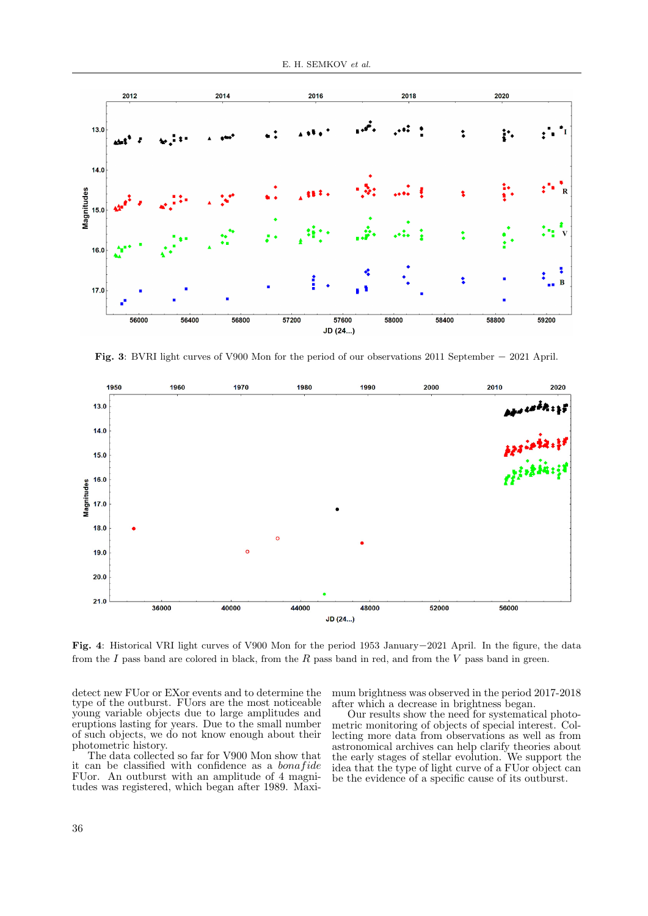

<span id="page-5-0"></span>Fig. 3: BVRI light curves of V900 Mon for the period of our observations 2011 September − 2021 April.



<span id="page-5-1"></span>Fig. 4: Historical VRI light curves of V900 Mon for the period 1953 January−2021 April. In the figure, the data from the I pass band are colored in black, from the R pass band in red, and from the V pass band in green.

detect new FUor or EXor events and to determine the type of the outburst. FUors are the most noticeable young variable objects due to large amplitudes and eruptions lasting for years. Due to the small number of such objects, we do not know enough about their photometric history.

The data collected so far for V900 Mon show that it can be classified with confidence as a *bonafide* FUor. An outburst with an amplitude of 4 magnitudes was registered, which began after 1989. Maximum brightness was observed in the period 2017-2018 after which a decrease in brightness began.

Our results show the need for systematical photometric monitoring of objects of special interest. Collecting more data from observations as well as from astronomical archives can help clarify theories about the early stages of stellar evolution. We support the idea that the type of light curve of a FUor object can be the evidence of a specific cause of its outburst.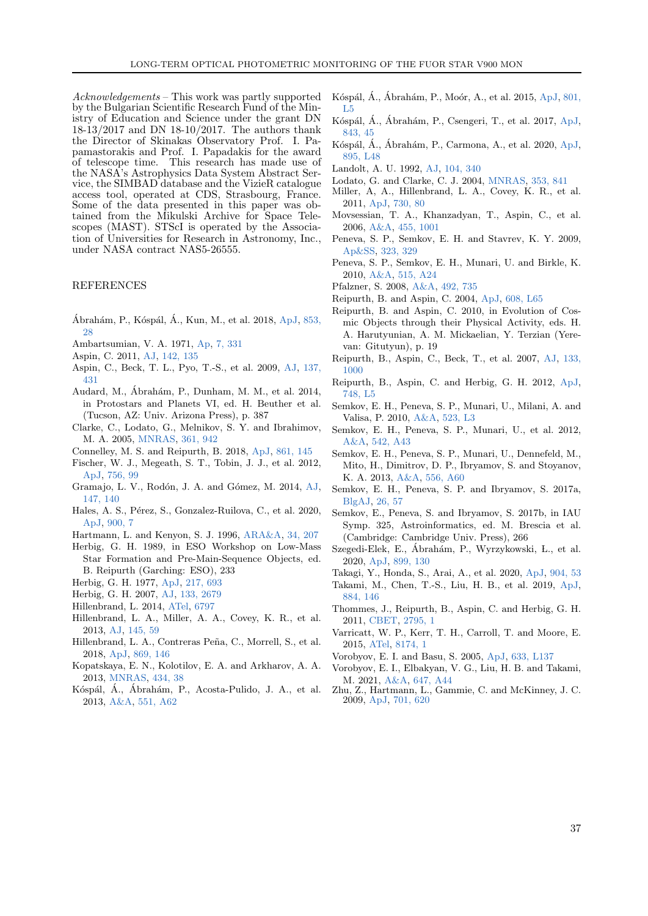Acknowledgements – This work was partly supported by the Bulgarian Scientific Research Fund of the Ministry of Education and Science under the grant DN 18-13/2017 and DN 18-10/2017. The authors thank the Director of Skinakas Observatory Prof. I. Papamastorakis and Prof. I. Papadakis for the award of telescope time. This research has made use of the NASA's Astrophysics Data System Abstract Service, the SIMBAD database and the VizieR catalogue access tool, operated at CDS, Strasbourg, France. Some of the data presented in this paper was obtained from the Mikulski Archive for Space Telescopes (MAST). STScI is operated by the Association of Universities for Research in Astronomy, Inc., under NASA contract NAS5-26555.

## REFERENCES

- <span id="page-6-27"></span>Ábrahám, P., Kóspál, Á., Kun, M., et al. 2018, [ApJ,](https://ui.adsabs.harvard.edu/abs/2018ApJ...853...28A) [853,](https://ui.adsabs.harvard.edu/abs/2018ApJ...853...28A) [28](https://ui.adsabs.harvard.edu/abs/2018ApJ...853...28A)
- <span id="page-6-1"></span>Ambartsumian, V. A. 1971, [Ap,](https://ui.adsabs.harvard.edu/abs/1971Ap......7..331A) [7, 331](https://ui.adsabs.harvard.edu/abs/1971Ap......7..331A)
- <span id="page-6-21"></span>Aspin, C. 2011, [AJ,](https://ui.adsabs.harvard.edu/abs/2011AJ....142..135A) [142, 135](https://ui.adsabs.harvard.edu/abs/2011AJ....142..135A)
- <span id="page-6-24"></span>Aspin, C., Beck, T. L., Pyo, T.-S., et al. 2009, [AJ,](https://ui.adsabs.harvard.edu/abs/2009AJ....137..431A) [137,](https://ui.adsabs.harvard.edu/abs/2009AJ....137..431A) [431](https://ui.adsabs.harvard.edu/abs/2009AJ....137..431A)
- <span id="page-6-4"></span>Audard, M., Ábrahám, P., Dunham, M. M., et al. 2014, in Protostars and Planets VI, ed. H. Beuther et al. (Tucson, AZ: Univ. Arizona Press), p. 387
- <span id="page-6-14"></span>Clarke, C., Lodato, G., Melnikov, S. Y. and Ibrahimov, M. A. 2005, [MNRAS,](https://ui.adsabs.harvard.edu/abs/2005MNRAS.361..942C) [361, 942](https://ui.adsabs.harvard.edu/abs/2005MNRAS.361..942C)
- <span id="page-6-5"></span>Connelley, M. S. and Reipurth, B. 2018, [ApJ,](https://ui.adsabs.harvard.edu/abs/2018ApJ...861..145C) [861, 145](https://ui.adsabs.harvard.edu/abs/2018ApJ...861..145C)
- <span id="page-6-28"></span>Fischer, W. J., Megeath, S. T., Tobin, J. J., et al. 2012, [ApJ,](https://ui.adsabs.harvard.edu/abs/2012ApJ...756...99F) [756, 99](https://ui.adsabs.harvard.edu/abs/2012ApJ...756...99F)
- <span id="page-6-35"></span>Gramajo, L. V., Rodón, J. A. and Gómez, M. 2014, [AJ,](https://ui.adsabs.harvard.edu/abs/2014AJ....147..140G) [147, 140](https://ui.adsabs.harvard.edu/abs/2014AJ....147..140G)
- <span id="page-6-40"></span>Hales, A. S., Pérez, S., Gonzalez-Ruilova, C., et al. 2020, [ApJ,](https://ui.adsabs.harvard.edu/abs/2020ApJ...900....7H) [900, 7](https://ui.adsabs.harvard.edu/abs/2020ApJ...900....7H)
- <span id="page-6-6"></span>Hartmann, L. and Kenyon, S. J. 1996, [ARA&A,](https://ui.adsabs.harvard.edu/abs/1996ARA&A..34..207H) [34, 207](https://ui.adsabs.harvard.edu/abs/1996ARA&A..34..207H)
- <span id="page-6-0"></span>Herbig, G. H. 1989, in ESO Workshop on Low-Mass Star Formation and Pre-Main-Sequence Objects, ed. B. Reipurth (Garching: ESO), 233
- <span id="page-6-2"></span>Herbig, G. H. 1977, [ApJ,](https://ui.adsabs.harvard.edu/abs/1977ApJ...217..693H) [217, 693](https://ui.adsabs.harvard.edu/abs/1977ApJ...217..693H)
- <span id="page-6-7"></span>Herbig, G. H. 2007, [AJ,](https://ui.adsabs.harvard.edu/abs/2007AJ....133.2679H) [133, 2679](https://ui.adsabs.harvard.edu/abs/2007AJ....133.2679H)
- <span id="page-6-30"></span>Hillenbrand, L. 2014, [ATel,](https://ui.adsabs.harvard.edu/abs/2014ATel.6797....1H) [6797](https://ui.adsabs.harvard.edu/abs/2014ATel.6797....1H)
- <span id="page-6-22"></span>Hillenbrand, L. A., Miller, A. A., Covey, K. R., et al. 2013, [AJ,](https://ui.adsabs.harvard.edu/abs/2013AJ....145...59H) [145, 59](https://ui.adsabs.harvard.edu/abs/2013AJ....145...59H)
- <span id="page-6-32"></span>Hillenbrand, L. A., Contreras Peña, C., Morrell, S., et al. 2018, [ApJ,](https://ui.adsabs.harvard.edu/abs/2018ApJ...869..146H) [869, 146](https://ui.adsabs.harvard.edu/abs/2018ApJ...869..146H)
- <span id="page-6-15"></span>Kopatskaya, E. N., Kolotilov, E. A. and Arkharov, A. A. 2013, [MNRAS,](https://ui.adsabs.harvard.edu/abs/2013MNRAS.434...38K) [434, 38](https://ui.adsabs.harvard.edu/abs/2013MNRAS.434...38K)
- <span id="page-6-23"></span>Kóspál, Á., Ábrahám, P., Acosta-Pulido, J. A., et al. 2013, [A&A,](https://ui.adsabs.harvard.edu/abs/2013A&A...551A..62K) [551, A62](https://ui.adsabs.harvard.edu/abs/2013A&A...551A..62K)
- <span id="page-6-31"></span>Kóspál, Á., Ábrahám, P., Moór, A., et al. 2015, [ApJ,](https://ui.adsabs.harvard.edu/abs/2015ApJ...801L...5K) [801,](https://ui.adsabs.harvard.edu/abs/2015ApJ...801L...5K) [L5](https://ui.adsabs.harvard.edu/abs/2015ApJ...801L...5K)
- <span id="page-6-36"></span>Kóspál, Á., Ábrahám, P., Csengeri, T., et al. 2017, [ApJ,](https://ui.adsabs.harvard.edu/abs/2017ApJ...843...45K) [843, 45](https://ui.adsabs.harvard.edu/abs/2017ApJ...843...45K)
- <span id="page-6-41"></span>Kóspál, A., Abrahám, P., Carmona, A., et al. 2020, [ApJ,](https://ui.adsabs.harvard.edu/abs/2020ApJ...895L..48K) [895, L48](https://ui.adsabs.harvard.edu/abs/2020ApJ...895L..48K)
- <span id="page-6-42"></span>Landolt, A. U. 1992, [AJ,](https://ui.adsabs.harvard.edu/abs/1992AJ....104..340L) [104, 340](https://ui.adsabs.harvard.edu/abs/1992AJ....104..340L)
- <span id="page-6-20"></span><span id="page-6-9"></span>Lodato, G. and Clarke, C. J. 2004, [MNRAS,](https://ui.adsabs.harvard.edu/abs/2004MNRAS.353..841L) [353, 841](https://ui.adsabs.harvard.edu/abs/2004MNRAS.353..841L)
- Miller, A, A., Hillenbrand, L. A., Covey, K. R., et al. 2011, [ApJ,](https://ui.adsabs.harvard.edu/abs/2011ApJ...730...80M) [730, 80](https://ui.adsabs.harvard.edu/abs/2011ApJ...730...80M)
- <span id="page-6-25"></span>Movsessian, T. A., Khanzadyan, T., Aspin, C., et al. 2006, [A&A,](https://ui.adsabs.harvard.edu/abs/2006A&A...455.1001M) [455, 1001](https://ui.adsabs.harvard.edu/abs/2006A&A...455.1001M)
- <span id="page-6-43"></span>Peneva, S. P., Semkov, E. H. and Stavrev, K. Y. 2009, [Ap&SS,](https://ui.adsabs.harvard.edu/abs/2009Ap&SS.323..329P) [323, 329](https://ui.adsabs.harvard.edu/abs/2009Ap&SS.323..329P)
- <span id="page-6-17"></span>Peneva, S. P., Semkov, E. H., Munari, U. and Birkle, K. 2010, [A&A,](https://ui.adsabs.harvard.edu/abs/2010A&A...515A..24P) [515, A24](https://ui.adsabs.harvard.edu/abs/2010A&A...515A..24P)
- <span id="page-6-11"></span>Pfalzner, S. 2008, [A&A,](https://ui.adsabs.harvard.edu/abs/2008A&A...492..735P) [492, 735](https://ui.adsabs.harvard.edu/abs/2008A&A...492..735P)
- <span id="page-6-10"></span><span id="page-6-3"></span>Reipurth, B. and Aspin, C. 2004, [ApJ,](https://ui.adsabs.harvard.edu/abs/2004ApJ...608L..65R) [608, L65](https://ui.adsabs.harvard.edu/abs/2004ApJ...608L..65R)
- Reipurth, B. and Aspin, C. 2010, in Evolution of Cosmic Objects through their Physical Activity, eds. H. A. Harutyunian, A. M. Mickaelian, Y. Terzian (Yerevan: Gitutyun), p. 19
- <span id="page-6-16"></span>Reipurth, B., Aspin, C., Beck, T., et al. 2007, [AJ,](https://ui.adsabs.harvard.edu/abs/2007AJ....133.1000R) [133,](https://ui.adsabs.harvard.edu/abs/2007AJ....133.1000R) [1000](https://ui.adsabs.harvard.edu/abs/2007AJ....133.1000R)
- <span id="page-6-29"></span>Reipurth, B., Aspin, C. and Herbig, G. H. 2012, [ApJ,](https://ui.adsabs.harvard.edu/abs/2012ApJ...748L...5R) [748, L5](https://ui.adsabs.harvard.edu/abs/2012ApJ...748L...5R)
- <span id="page-6-18"></span>Semkov, E. H., Peneva, S. P., Munari, U., Milani, A. and Valisa, P. 2010, [A&A,](https://ui.adsabs.harvard.edu/abs/2010A&A...523L...3S) [523, L3](https://ui.adsabs.harvard.edu/abs/2010A&A...523L...3S)
- <span id="page-6-19"></span>Semkov, E. H., Peneva, S. P., Munari, U., et al. 2012, [A&A,](https://ui.adsabs.harvard.edu/abs/2012A&A...542A..43S) [542, A43](https://ui.adsabs.harvard.edu/abs/2012A&A...542A..43S)
- <span id="page-6-26"></span>Semkov, E. H., Peneva, S. P., Munari, U., Dennefeld, M., Mito, H., Dimitrov, D. P., Ibryamov, S. and Stoyanov, K. A. 2013, [A&A,](https://ui.adsabs.harvard.edu/abs/2013A&A...556A..60S) [556, A60](https://ui.adsabs.harvard.edu/abs/2013A&A...556A..60S)
- <span id="page-6-45"></span>Semkov, E. H., Peneva, S. P. and Ibryamov, S. 2017a, [BlgAJ,](https://ui.adsabs.harvard.edu/abs/2017BlgAJ..26...57S) [26, 57](https://ui.adsabs.harvard.edu/abs/2017BlgAJ..26...57S)
- <span id="page-6-38"></span>Semkov, E., Peneva, S. and Ibryamov, S. 2017b, in IAU Symp. 325, Astroinformatics, ed. M. Brescia et al. (Cambridge: Cambridge Univ. Press), 266
- <span id="page-6-33"></span>Szegedi-Elek, E., Ábrahám, P., Wyrzykowski, L., et al. 2020, [ApJ,](https://ui.adsabs.harvard.edu/abs/2020ApJ...899..130S) [899, 130](https://ui.adsabs.harvard.edu/abs/2020ApJ...899..130S)
- <span id="page-6-44"></span>Takagi, Y., Honda, S., Arai, A., et al. 2020, [ApJ,](https://ui.adsabs.harvard.edu/abs/2020ApJ...904...53T) [904, 53](https://ui.adsabs.harvard.edu/abs/2020ApJ...904...53T)
- <span id="page-6-39"></span>Takami, M., Chen, T.-S., Liu, H. B., et al. 2019, [ApJ,](https://ui.adsabs.harvard.edu/abs/2019ApJ...884..146T) [884, 146](https://ui.adsabs.harvard.edu/abs/2019ApJ...884..146T)
- <span id="page-6-34"></span>Thommes, J., Reipurth, B., Aspin, C. and Herbig, G. H. 2011, [CBET,](https://ui.adsabs.harvard.edu/abs/2011CBET.2795....1T) [2795, 1](https://ui.adsabs.harvard.edu/abs/2011CBET.2795....1T)
- <span id="page-6-37"></span>Varricatt, W. P., Kerr, T. H., Carroll, T. and Moore, E. 2015, [ATel,](https://ui.adsabs.harvard.edu/abs/2015ATel.8174....1V) [8174, 1](https://ui.adsabs.harvard.edu/abs/2015ATel.8174....1V)
- <span id="page-6-12"></span>Vorobyov, E. I. and Basu, S. 2005, [ApJ,](https://ui.adsabs.harvard.edu/abs/2005ApJ...633L.137V) [633, L137](https://ui.adsabs.harvard.edu/abs/2005ApJ...633L.137V)
- <span id="page-6-13"></span>Vorobyov, E. I., Elbakyan, V. G., Liu, H. B. and Takami, M. 2021, [A&A,](https://ui.adsabs.harvard.edu/abs/2021A&A...647A..44V) [647, A44](https://ui.adsabs.harvard.edu/abs/2021A&A...647A..44V)
- <span id="page-6-8"></span>Zhu, Z., Hartmann, L., Gammie, C. and McKinney, J. C. 2009, [ApJ,](https://ui.adsabs.harvard.edu/abs/2009ApJ...701..620Z) [701, 620](https://ui.adsabs.harvard.edu/abs/2009ApJ...701..620Z)